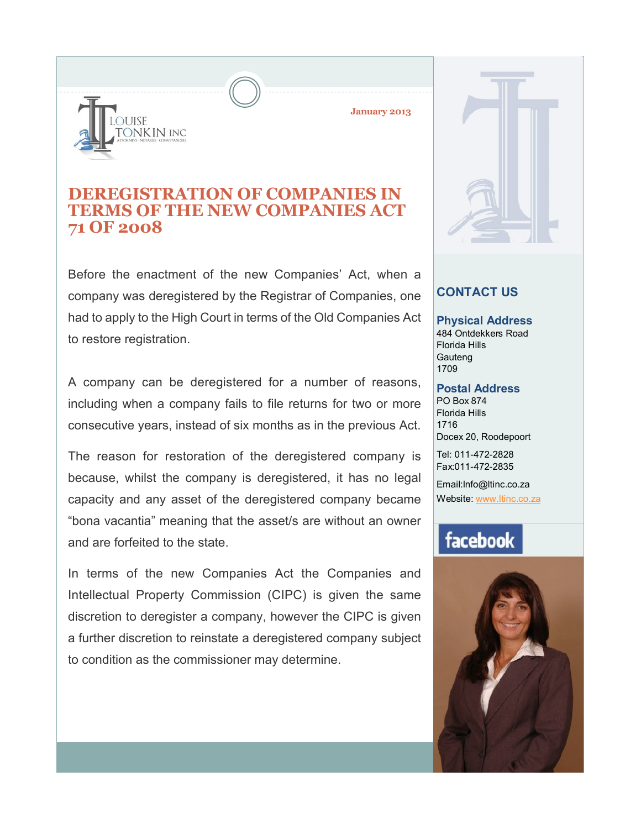# **OUISE** ONKIN INC

**January 2013**

### **DEREGISTRATION OF COMPANIES IN TERMS OF THE NEW COMPANIES ACT 71 OF 2008**

Before the enactment of the new Companies' Act, when a company was deregistered by the Registrar of Companies, one had to apply to the High Court in terms of the Old Companies Act to restore registration.

A company can be deregistered for a number of reasons, including when a company fails to file returns for two or more consecutive years, instead of six months as in the previous Act.

The reason for restoration of the deregistered company is because, whilst the company is deregistered, it has no legal capacity and any asset of the deregistered company became "bona vacantia" meaning that the asset/s are without an owner and are forfeited to the state.

In terms of the new Companies Act the Companies and Intellectual Property Commission (CIPC) is given the same discretion to deregister a company, however the CIPC is given a further discretion to reinstate a deregistered company subject to condition as the commissioner may determine.

#### **CONTACT US**

**Physical Address** 484 Ontdekkers Road Florida Hills **Gauteng** 1709

#### **Postal Address**

PO Box 874 Florida Hills 1716 Docex 20, Roodepoort

Tel: 011-472-2828 Fax:011-472-2835

Email:Info@ltinc.co.za Website: www.ltinc.co.za

## facebook